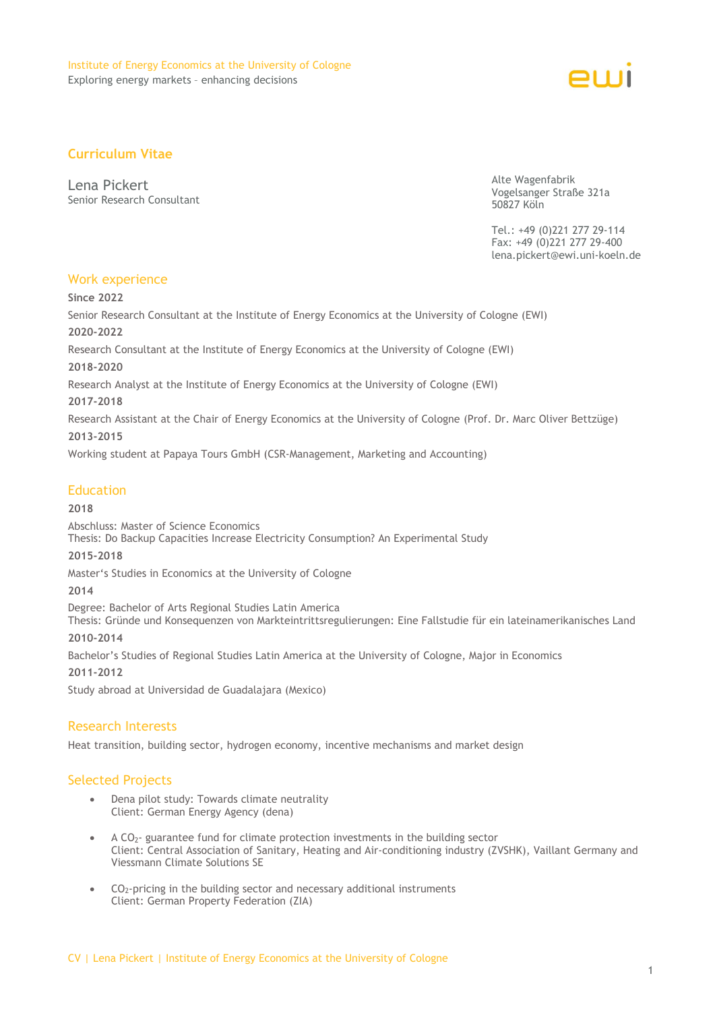

# **Curriculum Vitae**

Lena Pickert Senior Research Consultant Alte Wagenfabrik Vogelsanger Straße 321a 50827 Köln

Tel.: +49 (0)221 277 29-114 Fax: +49 (0)221 277 29-400 lena.pickert@ewi.uni-koeln.de

## Work experience

**Since 2022**

Senior Research Consultant at the Institute of Energy Economics at the University of Cologne (EWI) **2020-2022** 

Research Consultant at the Institute of Energy Economics at the University of Cologne (EWI)

**2018-2020** 

Research Analyst at the Institute of Energy Economics at the University of Cologne (EWI)

#### **2017-2018**

Research Assistant at the Chair of Energy Economics at the University of Cologne (Prof. Dr. Marc Oliver Bettzüge) **2013-2015**

Working student at Papaya Tours GmbH (CSR-Management, Marketing and Accounting)

## **Education**

### **2018**

Abschluss: Master of Science Economics Thesis: Do Backup Capacities Increase Electricity Consumption? An Experimental Study

### **2015-2018**

Master's Studies in Economics at the University of Cologne

### **2014**

Degree: Bachelor of Arts Regional Studies Latin America

Thesis: Gründe und Konsequenzen von Markteintrittsregulierungen: Eine Fallstudie für ein lateinamerikanisches Land **2010-2014**

Bachelor's Studies of Regional Studies Latin America at the University of Cologne, Major in Economics

**2011-2012**

Study abroad at Universidad de Guadalajara (Mexico)

## Research Interests

Heat transition, building sector, hydrogen economy, incentive mechanisms and market design

## Selected Projects

- Dena pilot study: Towards climate neutrality Client: German Energy Agency (dena)
- A CO<sub>2</sub>- guarantee fund for climate protection investments in the building sector Client: Central Association of Sanitary, Heating and Air-conditioning industry (ZVSHK), Vaillant Germany and Viessmann Climate Solutions SE
- $CO<sub>2</sub>$ -pricing in the building sector and necessary additional instruments Client: German Property Federation (ZIA)